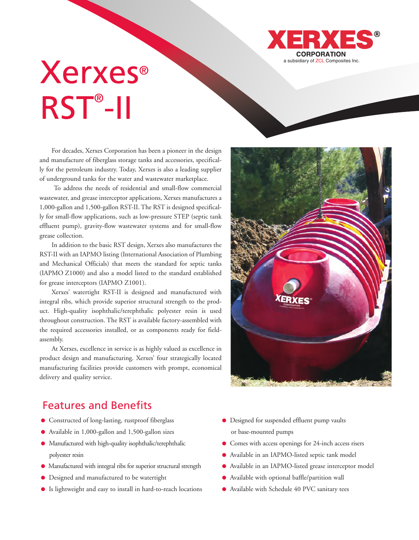

## a subsidiary of ZCL Composites Inc. RST®-II

For decades, Xerxes Corporation has been a pioneer in the design and manufacture of fiberglass storage tanks and accessories, specifically for the petroleum industry. Today, Xerxes is also a leading supplier of underground tanks for the water and wastewater marketplace.

To address the needs of residential and small-flow commercial wastewater, and grease interceptor applications, Xerxes manufactures a 1,000-gallon and 1,500-gallon RST-II. The RST is designed specifically for small-flow applications, such as low-pressure STEP (septic tank effluent pump), gravity-flow wastewater systems and for small-flow grease collection.

In addition to the basic RST design, Xerxes also manufactures the RST-II with an IAPMO listing (International Association of Plumbing and Mechanical Officials) that meets the standard for septic tanks (IAPMO Z1000) and also a model listed to the standard established for grease interceptors (IAPMO Z1001).

Xerxes' watertight RST-II is designed and manufactured with integral ribs, which provide superior structural strength to the product. High-quality isophthalic/terephthalic polyester resin is used throughout construction. The RST is available factory-assembled with the required accessories installed, or as components ready for fieldassembly.

At Xerxes, excellence in service is as highly valued as excellence in product design and manufacturing. Xerxes' four strategically located manufacturing facilities provide customers with prompt, economical delivery and quality service.

## Features and Benefits

- Constructed of long-lasting, rustproof fiberglass
- Available in 1,000-gallon and 1,500-gallon sizes
- Manufactured with high-quality isophthalic/terephthalic polyester resin
- Manufactured with integral ribs for superior structural strength
- Designed and manufactured to be watertight
- Is lightweight and easy to install in hard-to-reach locations
- Designed for suspended effluent pump vaults or base-mounted pumps
- Comes with access openings for 24-inch access risers
- Available in an IAPMO-listed septic tank model
- Available in an IAPMO-listed grease interceptor model
- Available with optional baffle/partition wall
- Available with Schedule 40 PVC sanitary tees